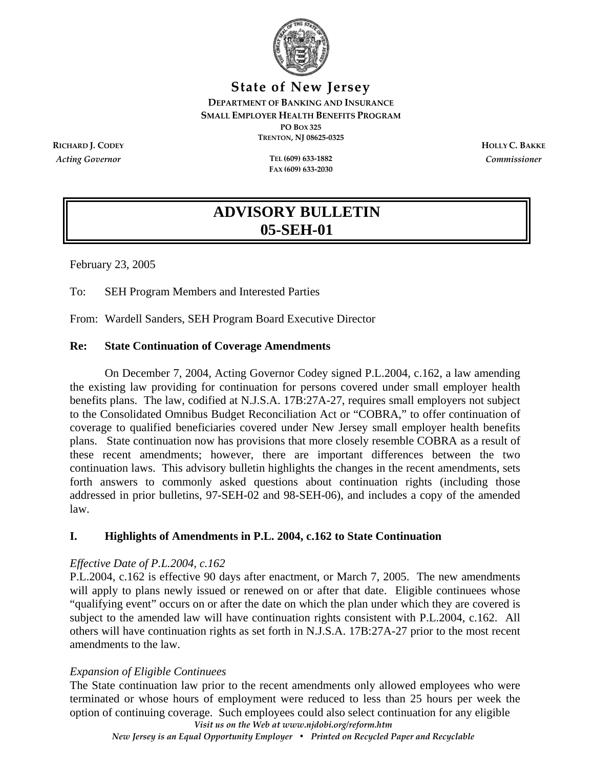

#### **State of New Jersey DEPARTMENT OF BANKING AND INSURANCE SMALL EMPLOYER HEALTH BENEFITS PROGRAM PO BOX 325 TRENTON, NJ 08625‐0325 RICHARD J. CODEY HOLLY C. BAKKE**

*Acting Governor* **TEL (609) 633‐1882**

**FAX (609) 633‐2030**

*Commissioner*

# **ADVISORY BULLETIN 05-SEH-01**

February 23, 2005

To: SEH Program Members and Interested Parties

From: Wardell Sanders, SEH Program Board Executive Director

### **Re: State Continuation of Coverage Amendments**

On December 7, 2004, Acting Governor Codey signed P.L.2004, c.162, a law amending the existing law providing for continuation for persons covered under small employer health benefits plans. The law, codified at N.J.S.A. 17B:27A-27, requires small employers not subject to the Consolidated Omnibus Budget Reconciliation Act or "COBRA," to offer continuation of coverage to qualified beneficiaries covered under New Jersey small employer health benefits plans. State continuation now has provisions that more closely resemble COBRA as a result of these recent amendments; however, there are important differences between the two continuation laws. This advisory bulletin highlights the changes in the recent amendments, sets forth answers to commonly asked questions about continuation rights (including those addressed in prior bulletins, 97-SEH-02 and 98-SEH-06), and includes a copy of the amended law.

# **I. Highlights of Amendments in P.L. 2004, c.162 to State Continuation**

#### *Effective Date of P.L.2004, c.162*

P.L.2004, c.162 is effective 90 days after enactment, or March 7, 2005. The new amendments will apply to plans newly issued or renewed on or after that date. Eligible continuees whose "qualifying event" occurs on or after the date on which the plan under which they are covered is subject to the amended law will have continuation rights consistent with P.L.2004, c.162. All others will have continuation rights as set forth in N.J.S.A. 17B:27A-27 prior to the most recent amendments to the law.

# *Expansion of Eligible Continuees*

*Visit us on the Web at www.njdobi.org/reform.htm* The State continuation law prior to the recent amendments only allowed employees who were terminated or whose hours of employment were reduced to less than 25 hours per week the option of continuing coverage. Such employees could also select continuation for any eligible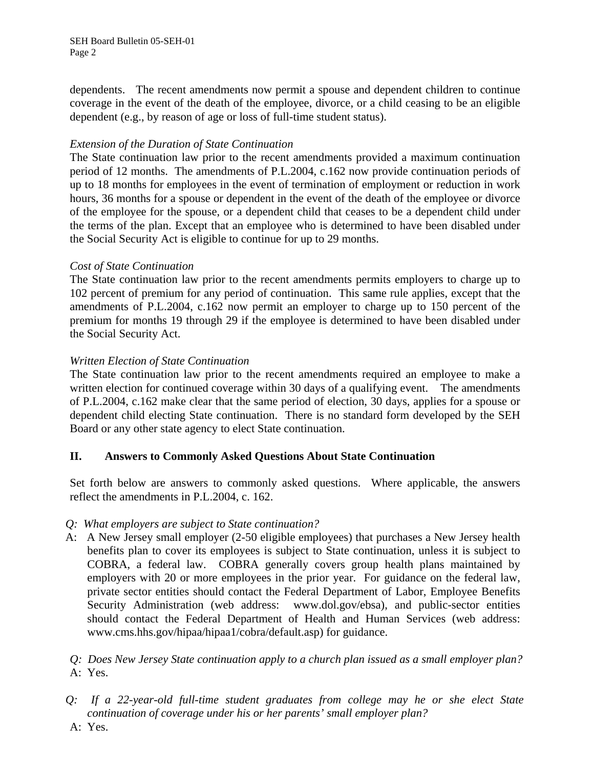SEH Board Bulletin 05-SEH-01 Page 2

dependents. The recent amendments now permit a spouse and dependent children to continue coverage in the event of the death of the employee, divorce, or a child ceasing to be an eligible dependent (e.g., by reason of age or loss of full-time student status).

#### *Extension of the Duration of State Continuation*

The State continuation law prior to the recent amendments provided a maximum continuation period of 12 months. The amendments of P.L.2004, c.162 now provide continuation periods of up to 18 months for employees in the event of termination of employment or reduction in work hours, 36 months for a spouse or dependent in the event of the death of the employee or divorce of the employee for the spouse, or a dependent child that ceases to be a dependent child under the terms of the plan. Except that an employee who is determined to have been disabled under the Social Security Act is eligible to continue for up to 29 months.

#### *Cost of State Continuation*

The State continuation law prior to the recent amendments permits employers to charge up to 102 percent of premium for any period of continuation. This same rule applies, except that the amendments of P.L.2004, c.162 now permit an employer to charge up to 150 percent of the premium for months 19 through 29 if the employee is determined to have been disabled under the Social Security Act.

### *Written Election of State Continuation*

The State continuation law prior to the recent amendments required an employee to make a written election for continued coverage within 30 days of a qualifying event. The amendments of P.L.2004, c.162 make clear that the same period of election, 30 days, applies for a spouse or dependent child electing State continuation. There is no standard form developed by the SEH Board or any other state agency to elect State continuation.

# **II. Answers to Commonly Asked Questions About State Continuation**

Set forth below are answers to commonly asked questions. Where applicable, the answers reflect the amendments in P.L.2004, c. 162.

#### *Q: What employers are subject to State continuation?*

A:A New Jersey small employer (2-50 eligible employees) that purchases a New Jersey health benefits plan to cover its employees is subject to State continuation, unless it is subject to COBRA, a federal law. COBRA generally covers group health plans maintained by employers with 20 or more employees in the prior year. For guidance on the federal law, private sector entities should contact the Federal Department of Labor, Employee Benefits Security Administration (web address: www.dol.gov/ebsa), and public-sector entities should contact the Federal Department of Health and Human Services (web address: www.cms.hhs.gov/hipaa/hipaa1/cobra/default.asp) for guidance.

*Q: Does New Jersey State continuation apply to a church plan issued as a small employer plan?* A: Yes.

- *Q: If a 22-year-old full-time student graduates from college may he or she elect State continuation of coverage under his or her parents' small employer plan?*
- A: Yes.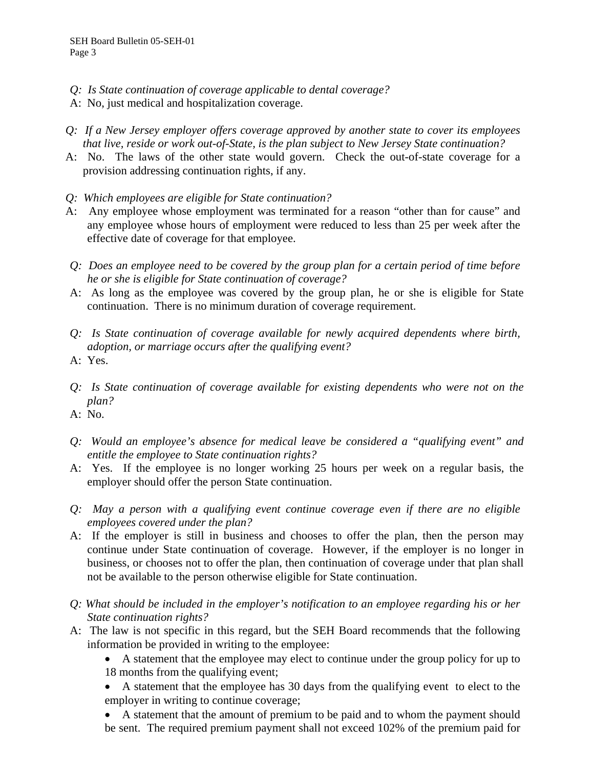- *Q: Is State continuation of coverage applicable to dental coverage?*
- A: No, just medical and hospitalization coverage.
- *Q: If a New Jersey employer offers coverage approved by another state to cover its employees that live, reside or work out-of-State, is the plan subject to New Jersey State continuation?*
- A: No. The laws of the other state would govern. Check the out-of-state coverage for a provision addressing continuation rights, if any.
- *Q: Which employees are eligible for State continuation?*
- A: Any employee whose employment was terminated for a reason "other than for cause" and any employee whose hours of employment were reduced to less than 25 per week after the effective date of coverage for that employee.
- *Q: Does an employee need to be covered by the group plan for a certain period of time before he or she is eligible for State continuation of coverage?*
- A: As long as the employee was covered by the group plan, he or she is eligible for State continuation. There is no minimum duration of coverage requirement.
- *Q: Is State continuation of coverage available for newly acquired dependents where birth, adoption, or marriage occurs after the qualifying event?*
- A: Yes.
- *Q: Is State continuation of coverage available for existing dependents who were not on the plan?*
- A: No.
- *Q: Would an employee's absence for medical leave be considered a "qualifying event" and entitle the employee to State continuation rights?*
- A: Yes. If the employee is no longer working 25 hours per week on a regular basis, the employer should offer the person State continuation.
- *Q: May a person with a qualifying event continue coverage even if there are no eligible employees covered under the plan?*
- A: If the employer is still in business and chooses to offer the plan, then the person may continue under State continuation of coverage. However, if the employer is no longer in business, or chooses not to offer the plan, then continuation of coverage under that plan shall not be available to the person otherwise eligible for State continuation.
- *Q: What should be included in the employer's notification to an employee regarding his or her State continuation rights?*
- A: The law is not specific in this regard, but the SEH Board recommends that the following information be provided in writing to the employee:
	- A statement that the employee may elect to continue under the group policy for up to 18 months from the qualifying event;
	- A statement that the employee has 30 days from the qualifying event to elect to the employer in writing to continue coverage;
	- A statement that the amount of premium to be paid and to whom the payment should be sent. The required premium payment shall not exceed 102% of the premium paid for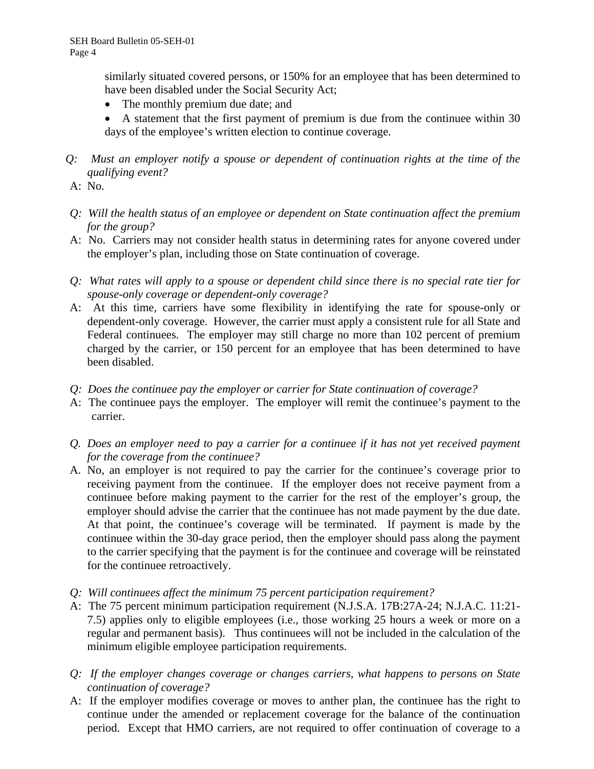similarly situated covered persons, or 150% for an employee that has been determined to have been disabled under the Social Security Act;

• The monthly premium due date; and

• A statement that the first payment of premium is due from the continuee within 30 days of the employee's written election to continue coverage.

*Q: Must an employer notify a spouse or dependent of continuation rights at the time of the qualifying event?*

A: No.

- *Q: Will the health status of an employee or dependent on State continuation affect the premium for the group?*
- A: No. Carriers may not consider health status in determining rates for anyone covered under the employer's plan, including those on State continuation of coverage.
- *Q: What rates will apply to a spouse or dependent child since there is no special rate tier for spouse-only coverage or dependent-only coverage?*
- A: At this time, carriers have some flexibility in identifying the rate for spouse-only or dependent-only coverage. However, the carrier must apply a consistent rule for all State and Federal continuees. The employer may still charge no more than 102 percent of premium charged by the carrier, or 150 percent for an employee that has been determined to have been disabled.
- *Q: Does the continuee pay the employer or carrier for State continuation of coverage?*
- A: The continuee pays the employer. The employer will remit the continuee's payment to the carrier.
- *Q. Does an employer need to pay a carrier for a continuee if it has not yet received payment for the coverage from the continuee?*
- A. No, an employer is not required to pay the carrier for the continuee's coverage prior to receiving payment from the continuee. If the employer does not receive payment from a continuee before making payment to the carrier for the rest of the employer's group, the employer should advise the carrier that the continuee has not made payment by the due date. At that point, the continuee's coverage will be terminated. If payment is made by the continuee within the 30-day grace period, then the employer should pass along the payment to the carrier specifying that the payment is for the continuee and coverage will be reinstated for the continuee retroactively.
- *Q: Will continuees affect the minimum 75 percent participation requirement?*
- A: The 75 percent minimum participation requirement (N.J.S.A. 17B:27A-24; N.J.A.C. 11:21- 7.5) applies only to eligible employees (i.e., those working 25 hours a week or more on a regular and permanent basis). Thus continuees will not be included in the calculation of the minimum eligible employee participation requirements.
- *Q: If the employer changes coverage or changes carriers, what happens to persons on State continuation of coverage?*
- A: If the employer modifies coverage or moves to anther plan, the continuee has the right to continue under the amended or replacement coverage for the balance of the continuation period. Except that HMO carriers, are not required to offer continuation of coverage to a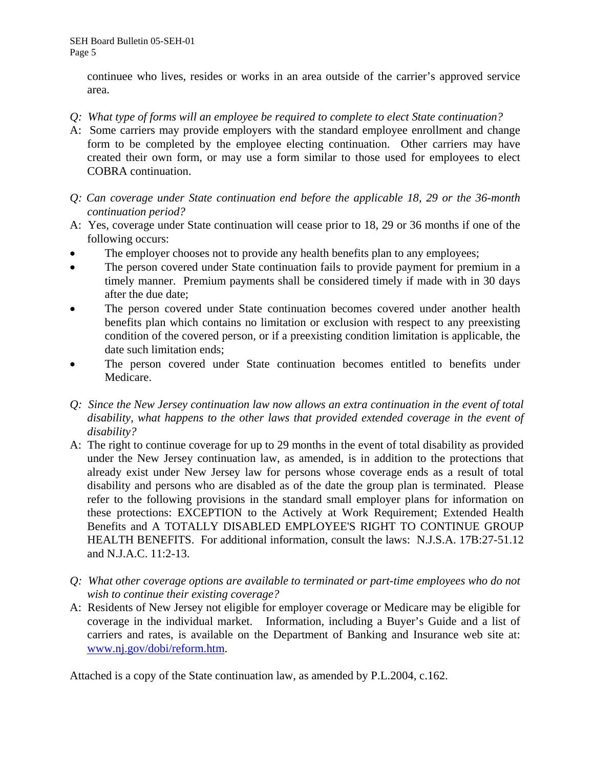continuee who lives, resides or works in an area outside of the carrier's approved service area.

- *Q: What type of forms will an employee be required to complete to elect State continuation?*
- A: Some carriers may provide employers with the standard employee enrollment and change form to be completed by the employee electing continuation. Other carriers may have created their own form, or may use a form similar to those used for employees to elect COBRA continuation.
- *Q: Can coverage under State continuation end before the applicable 18, 29 or the 36-month continuation period?*
- A: Yes, coverage under State continuation will cease prior to 18, 29 or 36 months if one of the following occurs:
- The employer chooses not to provide any health benefits plan to any employees;
- The person covered under State continuation fails to provide payment for premium in a timely manner. Premium payments shall be considered timely if made with in 30 days after the due date;
- The person covered under State continuation becomes covered under another health benefits plan which contains no limitation or exclusion with respect to any preexisting condition of the covered person, or if a preexisting condition limitation is applicable, the date such limitation ends;
- The person covered under State continuation becomes entitled to benefits under Medicare.
- *Q: Since the New Jersey continuation law now allows an extra continuation in the event of total disability, what happens to the other laws that provided extended coverage in the event of disability?*
- A: The right to continue coverage for up to 29 months in the event of total disability as provided under the New Jersey continuation law, as amended, is in addition to the protections that already exist under New Jersey law for persons whose coverage ends as a result of total disability and persons who are disabled as of the date the group plan is terminated. Please refer to the following provisions in the standard small employer plans for information on these protections: EXCEPTION to the Actively at Work Requirement; Extended Health Benefits and A TOTALLY DISABLED EMPLOYEE'S RIGHT TO CONTINUE GROUP HEALTH BENEFITS. For additional information, consult the laws: N.J.S.A. 17B:27-51.12 and N.J.A.C. 11:2-13.
- *Q: What other coverage options are available to terminated or part-time employees who do not wish to continue their existing coverage?*
- A: Residents of New Jersey not eligible for employer coverage or Medicare may be eligible for coverage in the individual market. Information, including a Buyer's Guide and a list of carriers and rates, is available on the Department of Banking and Insurance web site at: [www.nj.gov/dobi/reform.htm.](http://www.nj.gov/dobi/reform.htm)

Attached is a copy of the State continuation law, as amended by P.L.2004, c.162.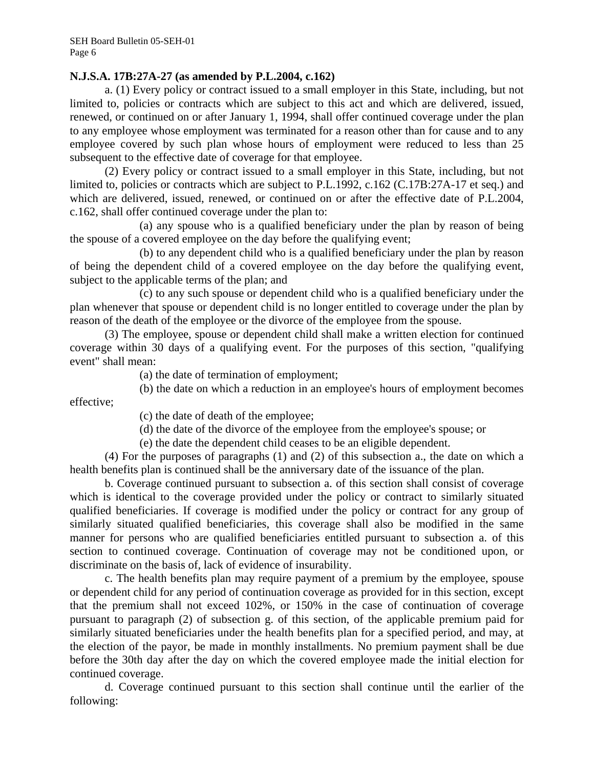#### **N.J.S.A. 17B:27A-27 (as amended by P.L.2004, c.162)**

a. (1) Every policy or contract issued to a small employer in this State, including, but not limited to, policies or contracts which are subject to this act and which are delivered, issued, renewed, or continued on or after January 1, 1994, shall offer continued coverage under the plan to any employee whose employment was terminated for a reason other than for cause and to any employee covered by such plan whose hours of employment were reduced to less than 25 subsequent to the effective date of coverage for that employee.

(2) Every policy or contract issued to a small employer in this State, including, but not limited to, policies or contracts which are subject to P.L.1992, c.162 (C.17B:27A-17 et seq.) and which are delivered, issued, renewed, or continued on or after the effective date of P.L.2004, c.162, shall offer continued coverage under the plan to:

(a) any spouse who is a qualified beneficiary under the plan by reason of being the spouse of a covered employee on the day before the qualifying event;

(b) to any dependent child who is a qualified beneficiary under the plan by reason of being the dependent child of a covered employee on the day before the qualifying event, subject to the applicable terms of the plan; and

(c) to any such spouse or dependent child who is a qualified beneficiary under the plan whenever that spouse or dependent child is no longer entitled to coverage under the plan by reason of the death of the employee or the divorce of the employee from the spouse.

(3) The employee, spouse or dependent child shall make a written election for continued coverage within 30 days of a qualifying event. For the purposes of this section, "qualifying event" shall mean:

(a) the date of termination of employment;

(b) the date on which a reduction in an employee's hours of employment becomes effective;

(c) the date of death of the employee;

(d) the date of the divorce of the employee from the employee's spouse; or

(e) the date the dependent child ceases to be an eligible dependent.

(4) For the purposes of paragraphs (1) and (2) of this subsection a., the date on which a health benefits plan is continued shall be the anniversary date of the issuance of the plan.

b. Coverage continued pursuant to subsection a. of this section shall consist of coverage which is identical to the coverage provided under the policy or contract to similarly situated qualified beneficiaries. If coverage is modified under the policy or contract for any group of similarly situated qualified beneficiaries, this coverage shall also be modified in the same manner for persons who are qualified beneficiaries entitled pursuant to subsection a. of this section to continued coverage. Continuation of coverage may not be conditioned upon, or discriminate on the basis of, lack of evidence of insurability.

c. The health benefits plan may require payment of a premium by the employee, spouse or dependent child for any period of continuation coverage as provided for in this section, except that the premium shall not exceed 102%, or 150% in the case of continuation of coverage pursuant to paragraph (2) of subsection g. of this section, of the applicable premium paid for similarly situated beneficiaries under the health benefits plan for a specified period, and may, at the election of the payor, be made in monthly installments. No premium payment shall be due before the 30th day after the day on which the covered employee made the initial election for continued coverage.

d. Coverage continued pursuant to this section shall continue until the earlier of the following: